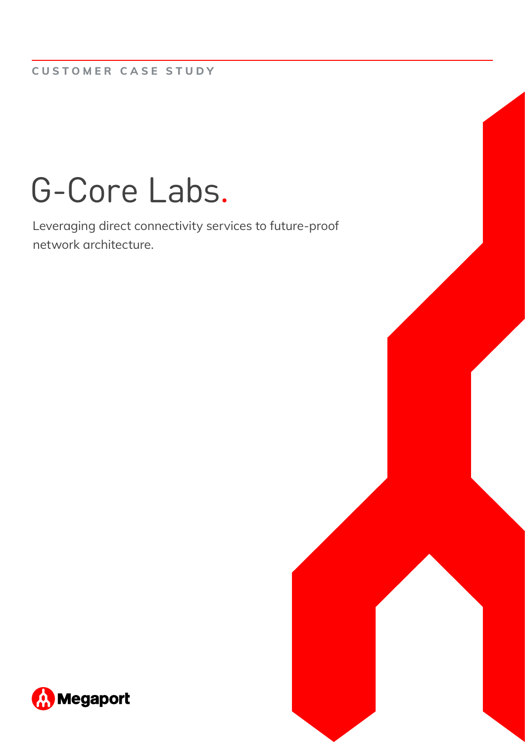# G-Core Labs.

Leveraging direct connectivity services to future-proof network architecture.

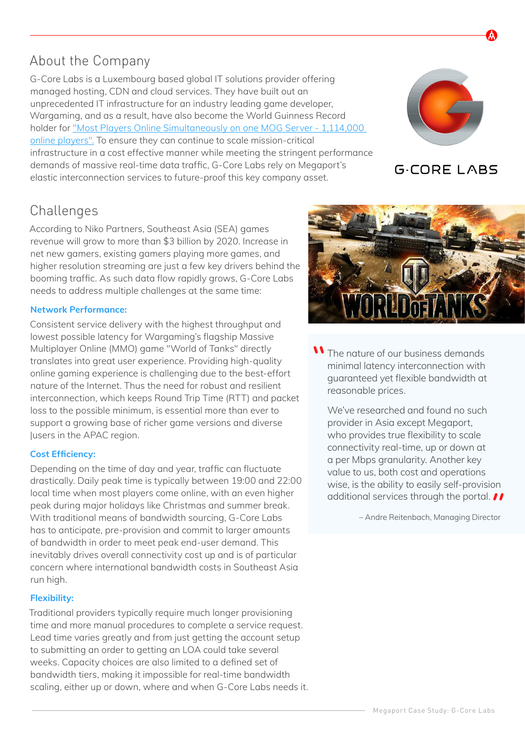## About the Company

G-Core Labs is a Luxembourg based global IT solutions provider offering managed hosting, CDN and cloud services. They have built out an unprecedented IT infrastructure for an industry leading game developer, Wargaming, and as a result, have also become the World Guinness Record holder for ["Most Players Online Simultaneously on one MOG Server - 1,114,000](http://www.guinnessworldrecords.com/world-records/most-players-online-simultaneously-on-one-mog-server)  [online players".](http://www.guinnessworldrecords.com/world-records/most-players-online-simultaneously-on-one-mog-server) To ensure they can continue to scale mission-critical infrastructure in a cost effective manner while meeting the stringent performance demands of massive real-time data traffic, G-Core Labs rely on Megaport's elastic interconnection services to future-proof this key company asset.

## Challenges

According to Niko Partners, Southeast Asia (SEA) games revenue will grow to more than \$3 billion by 2020. Increase in net new gamers, existing gamers playing more games, and higher resolution streaming are just a few key drivers behind the booming traffic. As such data flow rapidly grows, G-Core Labs needs to address multiple challenges at the same time:

#### **Network Performance:**

Consistent service delivery with the highest throughput and lowest possible latency for Wargaming's flagship Massive Multiplayer Online (MMO) game "World of Tanks" directly translates into great user experience. Providing high-quality online gaming experience is challenging due to the best-effort nature of the Internet. Thus the need for robust and resilient interconnection, which keeps Round Trip Time (RTT) and packet loss to the possible minimum, is essential more than ever to support a growing base of richer game versions and diverse |users in the APAC region.

#### **Cost Efficiency:**

Depending on the time of day and year, traffic can fluctuate drastically. Daily peak time is typically between 19:00 and 22:00 local time when most players come online, with an even higher peak during major holidays like Christmas and summer break. With traditional means of bandwidth sourcing, G-Core Labs has to anticipate, pre-provision and commit to larger amounts of bandwidth in order to meet peak end-user demand. This inevitably drives overall connectivity cost up and is of particular concern where international bandwidth costs in Southeast Asia run high.

#### **Flexibility:**

Traditional providers typically require much longer provisioning time and more manual procedures to complete a service request. Lead time varies greatly and from just getting the account setup to submitting an order to getting an LOA could take several weeks. Capacity choices are also limited to a defined set of bandwidth tiers, making it impossible for real-time bandwidth scaling, either up or down, where and when G-Core Labs needs it.



We've researched and found no such provider in Asia except Megaport, who provides true flexibility to scale connectivity real-time, up or down at a per Mbps granularity. Another key value to us, both cost and operations wise, is the ability to easily self-provision additional services through the portal. *II* 

– Andre Reitenbach, Managing Director





**G-CORE LABS** 

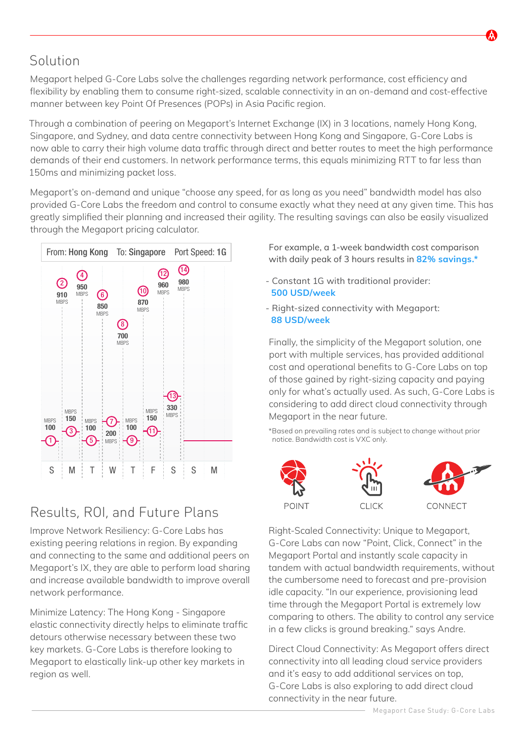## Solution

Megaport helped G-Core Labs solve the challenges regarding network performance, cost efficiency and flexibility by enabling them to consume right-sized, scalable connectivity in an on-demand and cost-effective manner between key Point Of Presences (POPs) in Asia Pacific region.

Through a combination of peering on Megaport's Internet Exchange (IX) in 3 locations, namely Hong Kong, Singapore, and Sydney, and data centre connectivity between Hong Kong and Singapore, G-Core Labs is now able to carry their high volume data traffic through direct and better routes to meet the high performance demands of their end customers. In network performance terms, this equals minimizing RTT to far less than 150ms and minimizing packet loss.

Megaport's on-demand and unique "choose any speed, for as long as you need" bandwidth model has also provided G-Core Labs the freedom and control to consume exactly what they need at any given time. This has greatly simplified their planning and increased their agility. The resulting savings can also be easily visualized through the Megaport pricing calculator.



# Results, ROI, and Future Plans

Improve Network Resiliency: G-Core Labs has existing peering relations in region. By expanding and connecting to the same and additional peers on Megaport's IX, they are able to perform load sharing and increase available bandwidth to improve overall network performance.

Minimize Latency: The Hong Kong - Singapore elastic connectivity directly helps to eliminate traffic detours otherwise necessary between these two key markets. G-Core Labs is therefore looking to Megaport to elastically link-up other key markets in region as well.

For example, a 1-week bandwidth cost comparison with daily peak of 3 hours results in **82% savings.\***

- Constant 1G with traditional provider: **500 USD/week**
- Right-sized connectivity with Megaport: **88 USD/week**

Finally, the simplicity of the Megaport solution, one port with multiple services, has provided additional cost and operational benefits to G-Core Labs on top of those gained by right-sizing capacity and paying only for what's actually used. As such, G-Core Labs is considering to add direct cloud connectivity through Megaport in the near future.

\*Based on prevailing rates and is subject to change without prior notice. Bandwidth cost is VXC only.



Right-Scaled Connectivity: Unique to Megaport, G-Core Labs can now "Point, Click, Connect" in the Megaport Portal and instantly scale capacity in tandem with actual bandwidth requirements, without the cumbersome need to forecast and pre-provision idle capacity. "In our experience, provisioning lead time through the Megaport Portal is extremely low comparing to others. The ability to control any service in a few clicks is ground breaking." says Andre.

Direct Cloud Connectivity: As Megaport offers direct connectivity into all leading cloud service providers and it's easy to add additional services on top, G-Core Labs is also exploring to add direct cloud connectivity in the near future.